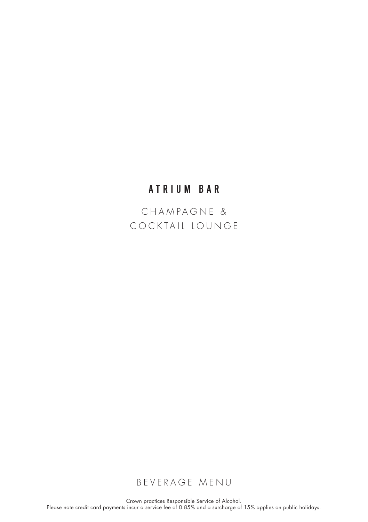# ATRIUM BAR

CHAMPAGNE & COCKTAIL LOUNGE

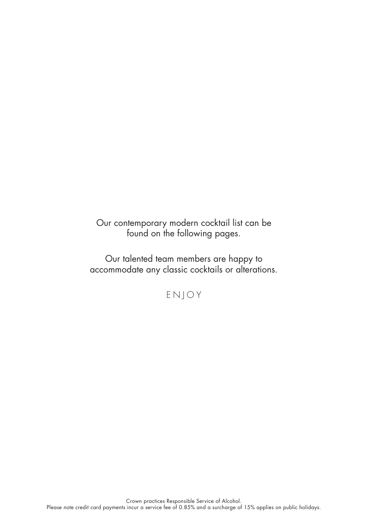Our contemporary modern cocktail list can be found on the following pages.

Our talented team members are happy to accommodate any classic cocktails or alterations.

ENJOY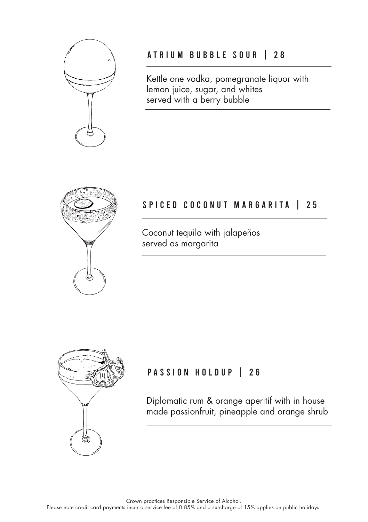

## A TRIUM BUBBLE SOUR | 28

Kettle one vodka, pomegranate liquor with lemon juice, sugar, and whites served with a berry bubble



## SPICED COCONUT MARGARITA | 25

Coconut tequila with jalapeños served as margarita



# PASSION HOLDUP | 26

Diplomatic rum & orange aperitif with in house made passionfruit, pineapple and orange shrub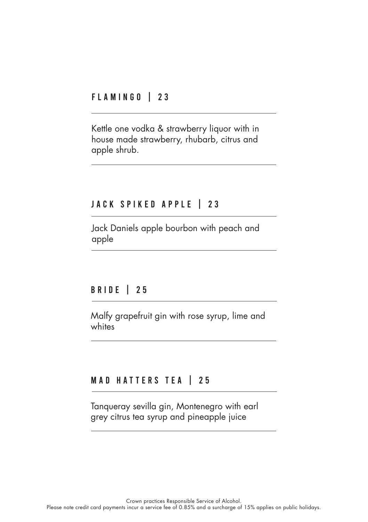## FLAMINGO | 23

Kettle one vodka & strawberry liquor with in house made strawberry, rhubarb, citrus and apple shrub.

## JACK SPIKED APPLE | 23

Jack Daniels apple bourbon with peach and apple

#### **BRIDE** | 25

Malfy grapefruit gin with rose syrup, lime and whites

## MAD HATTERS TEA | 25

Tanqueray sevilla gin, Montenegro with earl grey citrus tea syrup and pineapple juice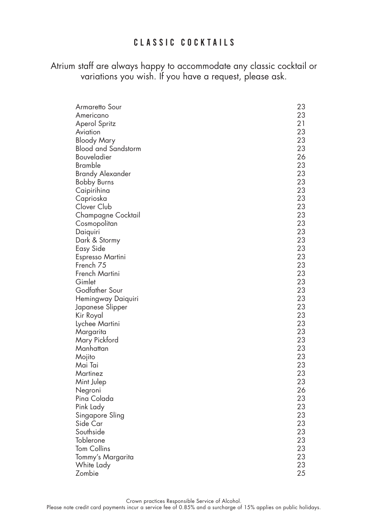## CLASSIC COCKTAILS

Atrium staff are always happy to accommodate any classic cocktail or variations you wish. If you have a request, please ask.

| Armaretto Sour              | 23 |
|-----------------------------|----|
| Americano                   | 23 |
| Aperol Spritz               | 21 |
| Aviation                    | 23 |
| <b>Bloody Mary</b>          | 23 |
| <b>Blood and Sandstorm</b>  | 23 |
| Bouveladier                 | 26 |
| Bramble                     | 23 |
| <b>Brandy Alexander</b>     | 23 |
| <b>Bobby Burns</b>          | 23 |
| Caipirihina                 | 23 |
| Caprioska                   | 23 |
| Clover Club                 | 23 |
| Champagne Cocktail          | 23 |
| Cosmopolitan                | 23 |
| Daiquiri                    | 23 |
| Dark & Stormy               | 23 |
| Easy Side                   | 23 |
| Espresso Martini            | 23 |
| French 75                   | 23 |
| French Martini              | 23 |
| Gimlet                      | 23 |
| Godfather Sour              | 23 |
| Hemingway Daiquiri          | 23 |
| Japanese Slipper            | 23 |
| Kir Royal                   | 23 |
| Lychee Martini              | 23 |
| Margarita                   | 23 |
| Mary Pickford               | 23 |
| Manhattan                   | 23 |
| Mojito                      | 23 |
| Mai Tai                     | 23 |
| Martinez                    | 23 |
| Mint Julep                  | 23 |
|                             | 26 |
| Negroni<br>Pina Colada      | 23 |
| Pink Lady                   | 23 |
|                             | 23 |
| Singapore Sling<br>Side Car | 23 |
|                             | 23 |
| Southside                   | 23 |
| Toblerone                   | 23 |
| <b>Tom Collins</b>          | 23 |
| Tommy's Margarita           |    |
| White Lady                  | 23 |
| Zombie                      | 25 |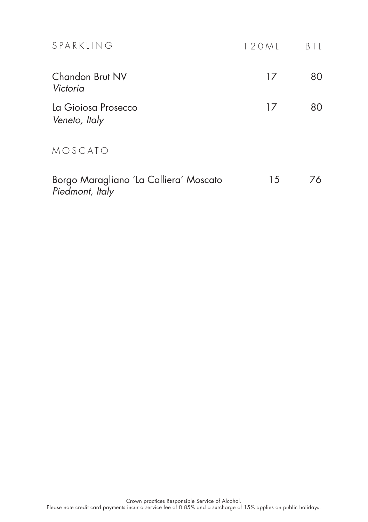| SPARKLING                                                 | 120ML | B I L |
|-----------------------------------------------------------|-------|-------|
| Chandon Brut NV<br>Victoria                               | 17    | 80    |
| La Gioiosa Prosecco<br>Veneto, Italy                      | 17    | 80    |
| MOSCATO                                                   |       |       |
| Borgo Maragliano 'La Calliera' Moscato<br>Piedmont, Italy | 15    | 76    |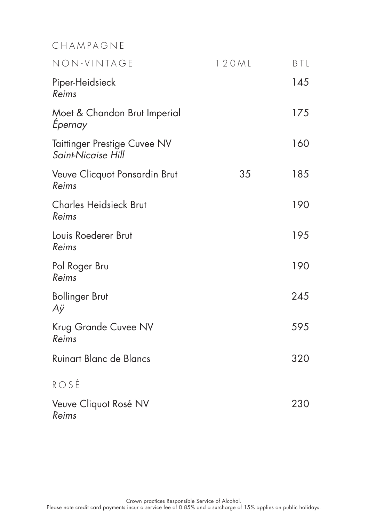# CHAMPAGNE

| NON-VINTAGE                                               | 120ML | BTL |
|-----------------------------------------------------------|-------|-----|
| Piper-Heidsieck<br>Reims                                  |       | 145 |
| Moet & Chandon Brut Imperial<br>Epernay                   |       | 175 |
| <b>Taittinger Prestige Cuvee NV</b><br>Saint-Nicaise Hill |       | 160 |
| Veuve Clicquot Ponsardin Brut<br>Reims                    | 35    | 185 |
| <b>Charles Heidsieck Brut</b><br>Reims                    |       | 190 |
| Louis Roederer Brut<br>Reims                              |       | 195 |
| Pol Roger Bru<br>Reims                                    |       | 190 |
| <b>Bollinger Brut</b><br>Аÿ                               |       | 245 |
| Krug Grande Cuvee NV<br>Reims                             |       | 595 |
| Ruinart Blanc de Blancs                                   |       | 320 |
| ROSÉ                                                      |       |     |
| Veuve Cliquot Rosé NV                                     |       | 230 |

Reims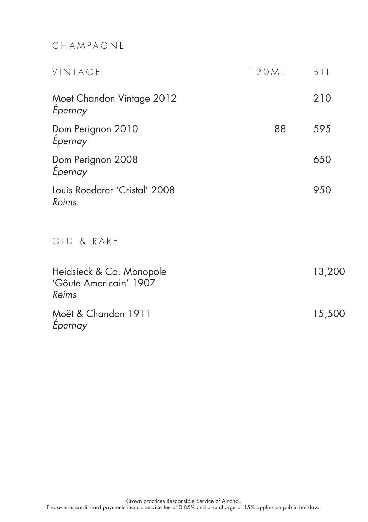# CHAMPAGNE

| VINTAGE                                                     | 120ML | BTL    |
|-------------------------------------------------------------|-------|--------|
| Moet Chandon Vintage 2012<br>Epernay                        |       | 210    |
| Dom Perignon 2010<br>Epernay                                | 88    | 595    |
| Dom Perignon 2008<br>Epernay                                |       | 650    |
| Louis Roederer 'Cristal' 2008<br>Reims                      |       | 950    |
| OLD & RARE                                                  |       |        |
| Heidsieck & Co. Monopole<br>'Gôute Americain' 1907<br>Reims |       | 13,200 |
| Moët & Chandon 1911<br>Epernay                              |       | 15,500 |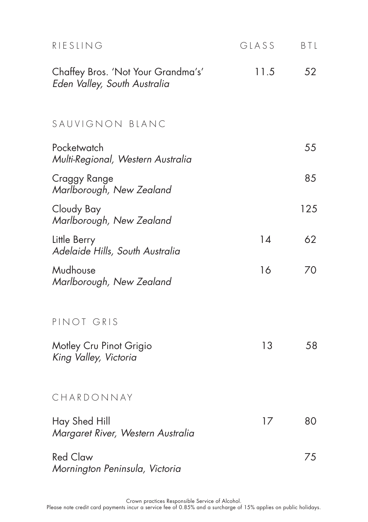| RIESLING                                                           | GLASS | <b>BTL</b> |
|--------------------------------------------------------------------|-------|------------|
| Chaffey Bros. 'Not Your Grandma's'<br>Eden Valley, South Australia | 11.5  | 52         |
| SAUVIGNON BLANC                                                    |       |            |
| Pocketwatch<br>Multi-Regional, Western Australia                   |       | 55         |
| Craggy Range<br>Marlborough, New Zealand                           |       | 85         |
| Cloudy Bay<br>Marlborough, New Zealand                             |       | 125        |
| Little Berry<br>Adelaide Hills, South Australia                    | 14    | 62         |
| Mudhouse<br>Marlborough, New Zealand                               | 16    | 70         |
| PINOT GRIS                                                         |       |            |
| Motley Cru Pinot Grigio<br>King Valley, Victoria                   | 13    | 58         |
| CHARDONNAY                                                         |       |            |
| Hay Shed Hill<br>Margaret River, Western Australia                 | 17    | 80         |
| <b>Red Claw</b><br>Mornington Peninsula, Victoria                  |       | 75         |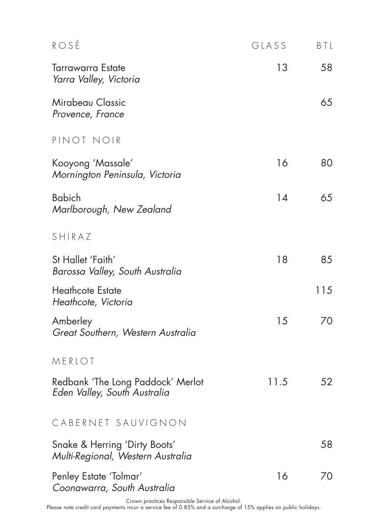| ROSE                                                               | GLASS | BTL |
|--------------------------------------------------------------------|-------|-----|
| <b>Tarrawarra Estate</b><br>Yarra Valley, Victoria                 | 13    | 58  |
| Mirabeau Classic<br>Provence, France                               |       | 65  |
| PINOT NOIR                                                         |       |     |
| Kooyong 'Massale'<br>Mornington Peninsula, Victoria                | 16    | 80  |
| <b>Babich</b><br>Marlborough, New Zealand                          | 14    | 65  |
| SHIRAZ                                                             |       |     |
| St Hallet 'Faith'<br>Barossa Valley, South Australia               | 18    | 85  |
| <b>Heathcote Estate</b><br>Heathcote, Victoria                     |       | 115 |
| Amberley<br>Great Southern, Western Australia                      | 15    | 70  |
| MERLOT                                                             |       |     |
| Redbank 'The Long Paddock' Merlot<br>Eden Valley, South Australia  | 11.5  | 52  |
| CABERNET SAUVIGNON                                                 |       |     |
| Snake & Herring 'Dirty Boots'<br>Multi-Regional, Western Australia |       | 58  |
| Penley Estate 'Tolmar'<br>Coonawarra, South Australia              | 16    | 70  |

Crown practices Responsible Service of Alcohol.<br>Please note credit card payments incur a service fee of 0.85% and a surcharge of 15% applies on public holidays.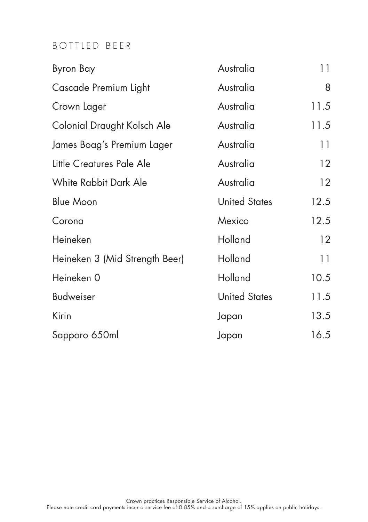# BOTTLED BEER

| Byron Bay                      | Australia            | 11                |
|--------------------------------|----------------------|-------------------|
| Cascade Premium Light          | Australia            | 8                 |
| Crown Lager                    | Australia            | 11.5              |
| Colonial Draught Kolsch Ale    | Australia            | 11.5              |
| James Boag's Premium Lager     | Australia            | 11                |
| Little Creatures Pale Ale      | Australia            | $12 \overline{ }$ |
| White Rabbit Dark Ale          | Australia            | 12                |
| <b>Blue Moon</b>               | <b>United States</b> | 12.5              |
| Corona                         | Mexico               | 12.5              |
| Heineken                       | Holland              | 12                |
| Heineken 3 (Mid Strength Beer) | Holland              | 11                |
| Heineken 0                     | Holland              | 10.5              |
| <b>Budweiser</b>               | <b>United States</b> | 11.5              |
| Kirin                          | Japan                | 13.5              |
| Sapporo 650ml                  | Japan                | 16.5              |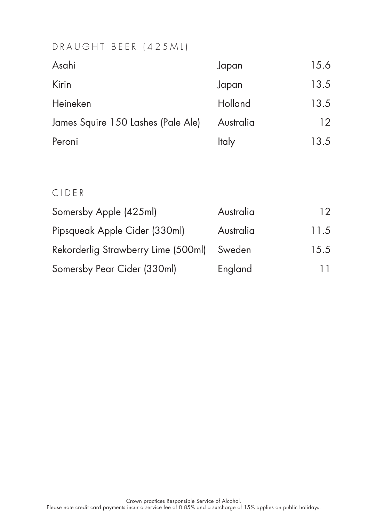## DRAUGHT BEER (425ML)

| Japan        | 15.6 |
|--------------|------|
| Japan        | 13.5 |
| Holland      | 13.5 |
| Australia    | 12   |
| <b>Italy</b> | 13.5 |
|              |      |

# CIDER

| Somersby Apple (425ml)              | Australia | 12   |
|-------------------------------------|-----------|------|
| Pipsqueak Apple Cider (330ml)       | Australia | 11.5 |
| Rekorderlig Strawberry Lime (500ml) | Sweden    | 15.5 |
| Somersby Pear Cider (330ml)         | England   | 11   |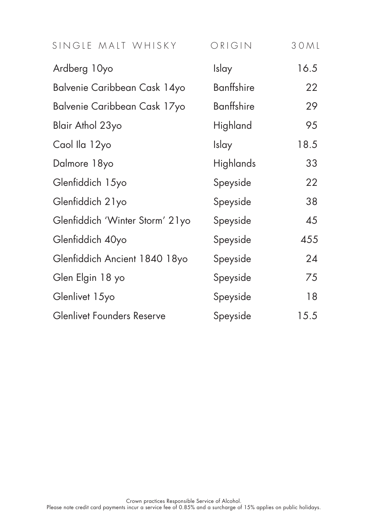| SINGLE MALT WHISKY                | ORIGIN            | 30ML |
|-----------------------------------|-------------------|------|
| Ardberg 10yo                      | Islay             | 16.5 |
| Balvenie Caribbean Cask 14yo      | <b>Banffshire</b> | 22   |
| Balvenie Caribbean Cask 17yo      | <b>Banffshire</b> | 29   |
| Blair Athol 23yo                  | Highland          | 95   |
| Caol Ila 12yo                     | Islay             | 18.5 |
| Dalmore 18yo                      | Highlands         | 33   |
| Glenfiddich 15yo                  | Speyside          | 22   |
| Glenfiddich 21yo                  | Speyside          | 38   |
| Glenfiddich 'Winter Storm' 21yo   | Speyside          | 45   |
| Glenfiddich 40yo                  | Speyside          | 455  |
| Glenfiddich Ancient 1840 18yo     | Speyside          | 24   |
| Glen Elgin 18 yo                  | Speyside          | 75   |
| Glenlivet 15yo                    | Speyside          | 18   |
| <b>Glenlivet Founders Reserve</b> | Speyside          | 15.5 |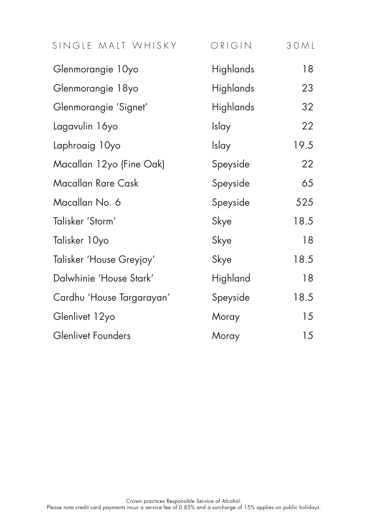| SINGLE MALT WHISKY        | ORIGIN           | 30ML |
|---------------------------|------------------|------|
| Glenmorangie 10yo         | Highlands        | 18   |
| Glenmorangie 18yo         | <b>Highlands</b> | 23   |
| Glenmorangie 'Signet'     | <b>Highlands</b> | 32   |
| Lagavulin 16yo            | Islay            | 22   |
| Laphroaig 10yo            | Islay            | 19.5 |
| Macallan 12yo (Fine Oak)  | Speyside         | 22   |
| Macallan Rare Cask        | Speyside         | 65   |
| Macallan No. 6            | Speyside         | 525  |
| Talisker 'Storm'          | Skye             | 18.5 |
| Talisker 10yo             | Skye             | 18   |
| Talisker 'House Greyjoy'  | Skye             | 18.5 |
| Dalwhinie 'House Stark'   | Highland         | 18   |
| Cardhu 'House Targarayan' | Speyside         | 18.5 |
| Glenlivet 12yo            | Moray            | 15   |
| <b>Glenlivet Founders</b> | Moray            | 15   |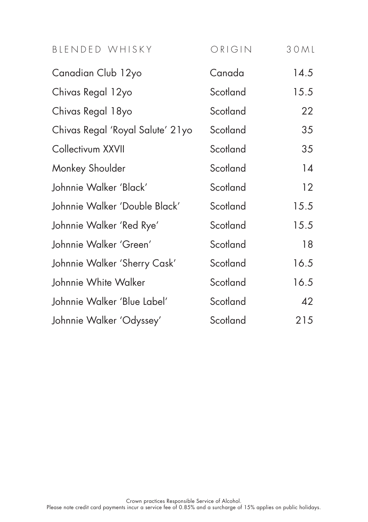| BLENDED WHISKY                   | ORIGIN   | 30ML |
|----------------------------------|----------|------|
| Canadian Club 12yo               | Canada   | 14.5 |
| Chivas Regal 12yo                | Scotland | 15.5 |
| Chivas Regal 18yo                | Scotland | 22   |
| Chivas Regal 'Royal Salute' 21yo | Scotland | 35   |
| Collectivum XXVII                | Scotland | 35   |
| Monkey Shoulder                  | Scotland | 14   |
| Johnnie Walker 'Black'           | Scotland | 12   |
| Johnnie Walker 'Double Black'    | Scotland | 15.5 |
| Johnnie Walker 'Red Rye'         | Scotland | 15.5 |
| Johnnie Walker 'Green'           | Scotland | 18   |
| Johnnie Walker 'Sherry Cask'     | Scotland | 16.5 |
| Johnnie White Walker             | Scotland | 16.5 |
| Johnnie Walker 'Blue Label'      | Scotland | 42   |
| Johnnie Walker 'Odyssey'         | Scotland | 215  |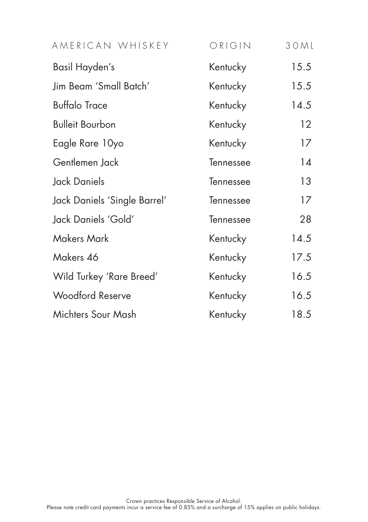| AMERICAN WHISKEY             | ORIGIN    | 3 O M L |
|------------------------------|-----------|---------|
| Basil Hayden's               | Kentucky  | 15.5    |
| Jim Beam 'Small Batch'       | Kentucky  | 15.5    |
| <b>Buffalo Trace</b>         | Kentucky  | 14.5    |
| <b>Bulleit Bourbon</b>       | Kentucky  | 12      |
| Eagle Rare 10yo              | Kentucky  | 17      |
| Gentlemen Jack               | Tennessee | 14      |
| Jack Daniels                 | Tennessee | 13      |
| Jack Daniels 'Single Barrel' | Tennessee | 17      |
| Jack Daniels 'Gold'          | Tennessee | 28      |
| <b>Makers Mark</b>           | Kentucky  | 14.5    |
| Makers 46                    | Kentucky  | 17.5    |
| Wild Turkey 'Rare Breed'     | Kentucky  | 16.5    |
| <b>Woodford Reserve</b>      | Kentucky  | 16.5    |
| Michters Sour Mash           | Kentucky  | 18.5    |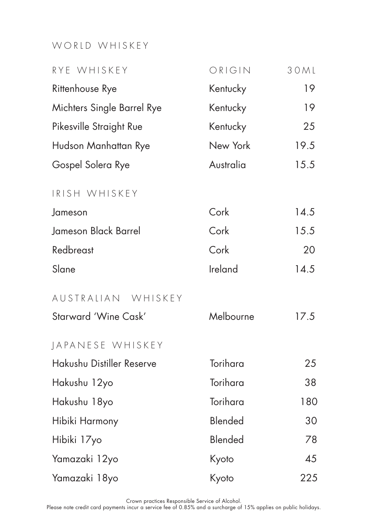# WORLD WHISKEY

| RYE WHISKEY                | ORIGIN    | 30ML |
|----------------------------|-----------|------|
| Rittenhouse Rye            | Kentucky  | 19   |
| Michters Single Barrel Rye | Kentucky  | 19   |
| Pikesville Straight Rue    | Kentucky  | 25   |
| Hudson Manhattan Rye       | New York  | 19.5 |
| Gospel Solera Rye          | Australia | 15.5 |
| IRISH WHISKEY              |           |      |
| Jameson                    | Cork      | 14.5 |
| Jameson Black Barrel       | Cork      | 15.5 |
| Redbreast                  | Cork      | 20   |
| Slane                      | Ireland   | 14.5 |
| AUSTRALIAN WHISKEY         |           |      |
| Starward 'Wine Cask'       | Melbourne | 17.5 |
| JAPANESE WHISKEY           |           |      |
| Hakushu Distiller Reserve  | Torihara  | 25   |
| Hakushu 12yo               | Torihara  | 38   |
| Hakushu 18yo               | Torihara  | 180  |
| Hibiki Harmony             | Blended   | 30   |
| Hibiki 17yo                | Blended   | 78   |
| Yamazaki 12yo              | Kyoto     | 45   |
| Yamazaki 18yo              | Kyoto     | 225  |

Crown practices Responsible Service of Alcohol.<br>Please note credit card payments incur a service fee of 0.85% and a surcharge of 15% applies on public holidays.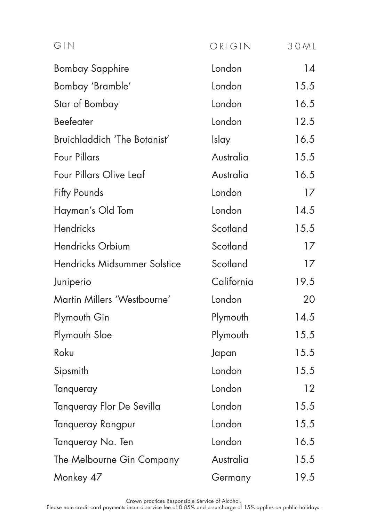| GIN                          | ORIGIN     | 3 O M L |
|------------------------------|------------|---------|
| <b>Bombay Sapphire</b>       | London     | 14      |
| Bombay 'Bramble'             | London     | 15.5    |
| Star of Bombay               | London     | 16.5    |
| Beefeater                    | London     | 12.5    |
| Bruichladdich 'The Botanist' | Islay      | 16.5    |
| <b>Four Pillars</b>          | Australia  | 15.5    |
| Four Pillars Olive Leaf      | Australia  | 16.5    |
| Fifty Pounds                 | London     | 17      |
| Hayman's Old Tom             | London     | 14.5    |
| Hendricks                    | Scotland   | 15.5    |
| Hendricks Orbium             | Scotland   | 17      |
| Hendricks Midsummer Solstice | Scotland   | 17      |
| Juniperio                    | California | 19.5    |
| Martin Millers 'Westbourne'  | London     | 20      |
| Plymouth Gin                 | Plymouth   | 14.5    |
| Plymouth Sloe                | Plymouth   | 15.5    |
| Roku                         | Japan      | 15.5    |
| Sipsmith                     | London     | 15.5    |
| Tanqueray                    | London     | 12      |
| Tanqueray Flor De Sevilla    | London     | 15.5    |
| Tanqueray Rangpur            | London     | 15.5    |
| Tanqueray No. Ten            | London     | 16.5    |
| The Melbourne Gin Company    | Australia  | 15.5    |
| Monkey 47                    | Germany    | 19.5    |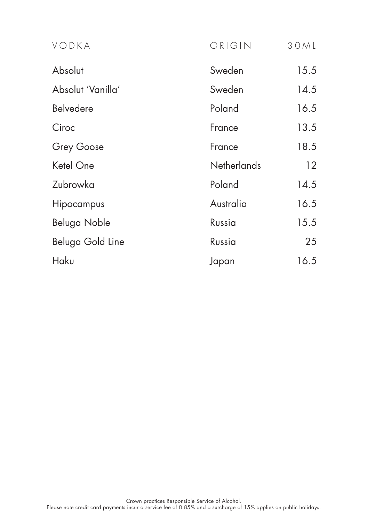| VODKA             | ORIGIN             | 30ML |
|-------------------|--------------------|------|
| Absolut           | Sweden             | 15.5 |
| Absolut 'Vanilla' | Sweden             | 14.5 |
| <b>Belvedere</b>  | Poland             | 16.5 |
| Ciroc             | France             | 13.5 |
| Grey Goose        | France             | 18.5 |
| Ketel One         | <b>Netherlands</b> | 12   |
| Zubrowka          | Poland             | 14.5 |
| Hipocampus        | Australia          | 16.5 |
| Beluga Noble      | Russia             | 15.5 |
| Beluga Gold Line  | Russia             | 25   |
| Haku              | Japan              | 16.5 |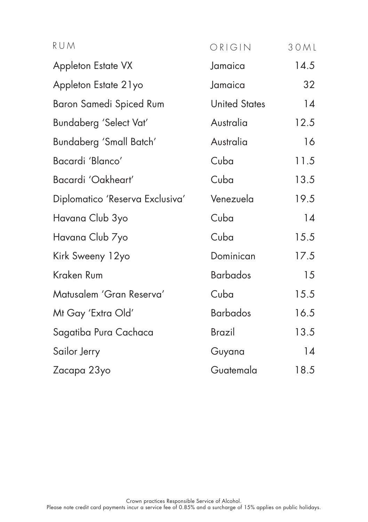| RUM                             | ORIGIN               | 30ML |
|---------------------------------|----------------------|------|
| Appleton Estate VX              | Jamaica              | 14.5 |
| Appleton Estate 21yo            | Jamaica              | 32   |
| Baron Samedi Spiced Rum         | <b>United States</b> | 14   |
| Bundaberg 'Select Vat'          | Australia            | 12.5 |
| Bundaberg 'Small Batch'         | Australia            | 16   |
| Bacardi 'Blanco'                | Cuba                 | 11.5 |
| Bacardi 'Oakheart'              | Cuba                 | 13.5 |
| Diplomatico 'Reserva Exclusiva' | Venezuela            | 19.5 |
| Havana Club 3yo                 | Cuba                 | 14   |
| Havana Club 7yo                 | Cuba                 | 15.5 |
| Kirk Sweeny 12yo                | Dominican            | 17.5 |
| Kraken Rum                      | <b>Barbados</b>      | 15   |
| Matusalem 'Gran Reserva'        | Cuba                 | 15.5 |
| Mt Gay 'Extra Old'              | <b>Barbados</b>      | 16.5 |
| Sagatiba Pura Cachaca           | <b>Brazil</b>        | 13.5 |
| Sailor Jerry                    | Guyana               | 14   |
| Zacapa 23yo                     | Guatemala            | 18.5 |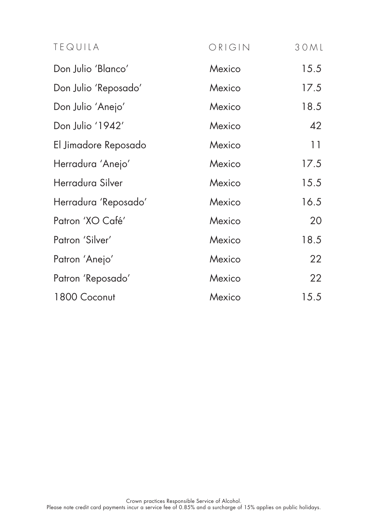| TEQUILA              | ORIGIN | 30ML |
|----------------------|--------|------|
| Don Julio 'Blanco'   | Mexico | 15.5 |
| Don Julio 'Reposado' | Mexico | 17.5 |
| Don Julio 'Anejo'    | Mexico | 18.5 |
| Don Julio '1942'     | Mexico | 42   |
| El Jimadore Reposado | Mexico | 11   |
| Herradura 'Anejo'    | Mexico | 17.5 |
| Herradura Silver     | Mexico | 15.5 |
| Herradura 'Reposado' | Mexico | 16.5 |
| Patron 'XO Café'     | Mexico | 20   |
| Patron 'Silver'      | Mexico | 18.5 |
| Patron 'Anejo'       | Mexico | 22   |
| Patron 'Reposado'    | Mexico | 22   |
| 1800 Coconut         | Mexico | 15.5 |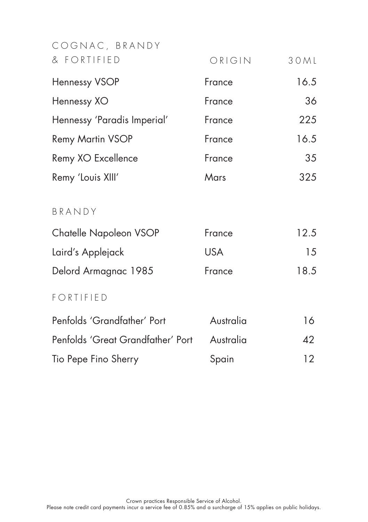| COGNAC, BRANDY                    |            |                 |
|-----------------------------------|------------|-----------------|
| & FORTIFIED                       | ORIGIN     | 30ML            |
| Hennessy VSOP                     | France     | 16.5            |
| Hennessy XO                       | France     | 36              |
| Hennessy 'Paradis Imperial'       | France     | 225             |
| <b>Remy Martin VSOP</b>           | France     | 16.5            |
| Remy XO Excellence                | France     | 35              |
| Remy 'Louis XIII'                 | Mars       | 325             |
| BRANDY                            |            |                 |
| Chatelle Napoleon VSOP            | France     | 12.5            |
| Laird's Applejack                 | <b>USA</b> | 15              |
| Delord Armagnac 1985              | France     | 18.5            |
| FORTIFIED                         |            |                 |
| Penfolds 'Grandfather' Port       | Australia  | 16              |
| Penfolds 'Great Grandfather' Port | Australia  | 42              |
| Tio Pepe Fino Sherry              | Spain      | 12 <sup>2</sup> |